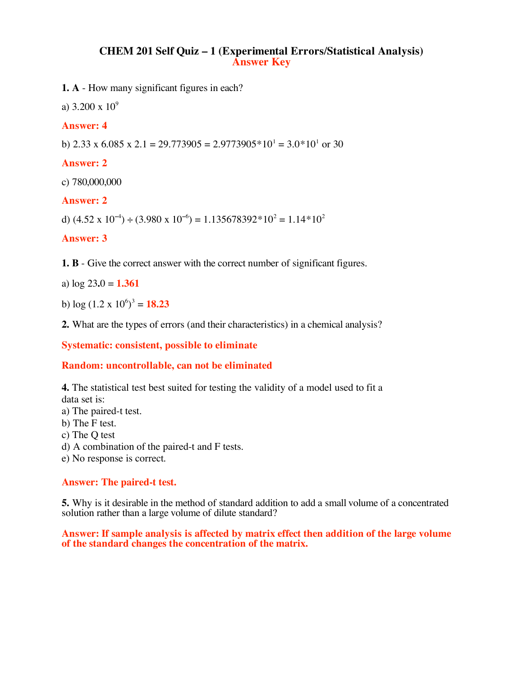# **CHEM 201 Self Quiz – 1 (Experimental Errors/Statistical Analysis) Answer Key**

**1. A** - How many significant figures in each?

a)  $3.200 \times 10^9$ 

### **Answer: 4**

b)  $2.33 \times 6.085 \times 2.1 = 29.773905 = 2.9773905 \times 10^{1} = 3.0 \times 10^{1}$  or 30

### **Answer: 2**

c) 780,000,000

### **Answer: 2**

d)  $(4.52 \times 10^{-4}) \div (3.980 \times 10^{-6}) = 1.135678392 \times 10^{2} = 1.14 \times 10^{2}$ 

### **Answer: 3**

**1. B** - Give the correct answer with the correct number of significant figures.

a) log 23**.**0 = **1.361**

b)  $\log{(1.2 \times 10^6)^3} = 18.23$ 

**2.** What are the types of errors (and their characteristics) in a chemical analysis?

**Systematic: consistent, possible to eliminate**

## **Random: uncontrollable, can not be eliminated**

**4.** The statistical test best suited for testing the validity of a model used to fit a data set is:

a) The paired-t test.

b) The F test.

c) The Q test

d) A combination of the paired-t and F tests.

e) No response is correct.

### **Answer: The paired-t test.**

**5.** Why is it desirable in the method of standard addition to add a small volume of a concentrated solution rather than a large volume of dilute standard?

**Answer: If sample analysis is affected by matrix effect then addition of the large volume of the standard changes the concentration of the matrix.**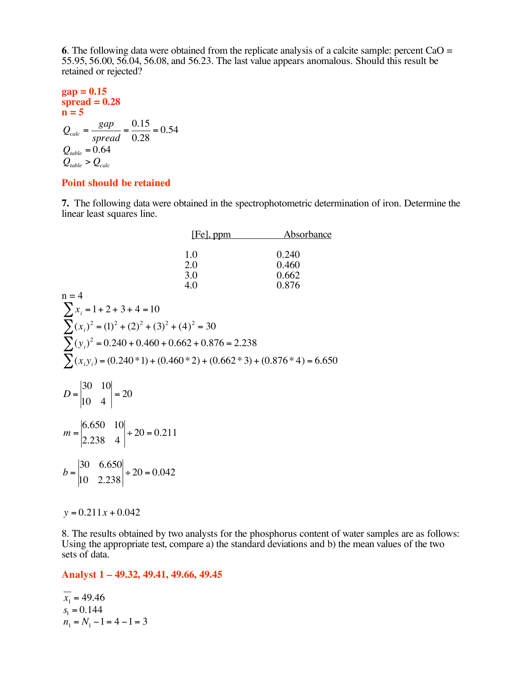**<sup>6</sup>**. The following data were obtained from the replicate analysis of <sup>a</sup> calcite sample: percent CaO <sup>=</sup> 55.95, 56.00, 56.04, 56.08, and 56.23. The last value appears anomalous. Should this result be retained or rejected?

**gap = 0.15**  
\n**spread = 0.28**  
\n**n = 5**  
\n
$$
Q_{calc} = \frac{gap}{spread} = \frac{0.15}{0.28} = 0.54
$$
  
\n $Q_{table} = 0.64$   
\n $Q_{table} > Q_{calc}$ 

## **Point should be retained**

**7.** The following data were obtained in the spectrophotometric determination of iron. Determine the linear least squares line.

|                                                                                     | $[Fe]$ , ppm | <u>Absorbance</u> |
|-------------------------------------------------------------------------------------|--------------|-------------------|
|                                                                                     |              |                   |
|                                                                                     | 1.0          | 0.240             |
|                                                                                     | 2.0          | 0.460             |
|                                                                                     | 3.0          | 0.662             |
|                                                                                     | 4.0          | 0.876             |
| $n = 4$                                                                             |              |                   |
| $\sum x_i = 1 + 2 + 3 + 4 = 10$                                                     |              |                   |
| $\sum_{i}(x_i)^2 = (1)^2 + (2)^2 + (3)^2 + (4)^2 = 30$                              |              |                   |
|                                                                                     |              |                   |
| $\sum(y_i)^2 = 0.240 + 0.460 + 0.662 + 0.876 = 2.238$                               |              |                   |
|                                                                                     |              |                   |
| $\sum_{i}(x_i y_i) = (0.240 * 1) + (0.460 * 2) + (0.662 * 3) + (0.876 * 4) = 6.650$ |              |                   |
|                                                                                     |              |                   |
|                                                                                     |              |                   |
| $D = \begin{vmatrix} 30 & 10 \\ 10 & 4 \end{vmatrix} = 20$                          |              |                   |
|                                                                                     |              |                   |
|                                                                                     |              |                   |
| $m = \begin{vmatrix} 6.650 & 10 \\ 2.238 & 4 \end{vmatrix} \div 20 = 0.211$         |              |                   |
|                                                                                     |              |                   |
|                                                                                     |              |                   |
|                                                                                     |              |                   |
| $b = \begin{vmatrix} 30 & 6.650 \\ 10 & 2.238 \end{vmatrix}$ ÷ 20 = 0.042           |              |                   |
|                                                                                     |              |                   |
|                                                                                     |              |                   |
|                                                                                     |              |                   |

*y* = 0.211*x* + 0.042

8. The results obtained by two analysts for the phosphorus content of water samples are as follows: Using the appropriate test, compare a) the standard deviations and b) the mean values of the two sets of data.

### **Analyst 1 – 49.32, 49.41, 49.66, 49.45**

 $\overline{x_1}$  = 49.46  $s_1 = 0.144$  $n_1 = N_1 - 1 = 4 - 1 = 3$